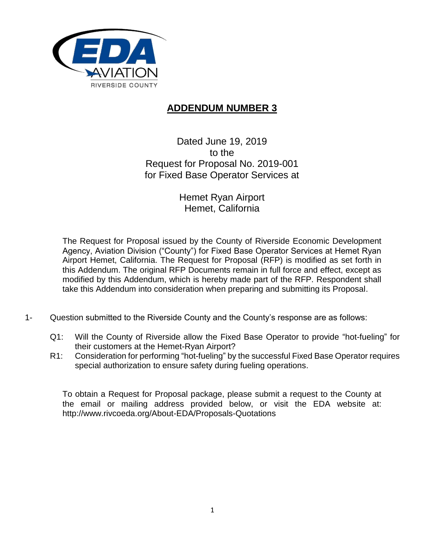

## **ADDENDUM NUMBER 3**

Dated June 19, 2019 to the Request for Proposal No. 2019-001 for Fixed Base Operator Services at

> Hemet Ryan Airport Hemet, California

The Request for Proposal issued by the County of Riverside Economic Development Agency, Aviation Division ("County") for Fixed Base Operator Services at Hemet Ryan Airport Hemet, California. The Request for Proposal (RFP) is modified as set forth in this Addendum. The original RFP Documents remain in full force and effect, except as modified by this Addendum, which is hereby made part of the RFP. Respondent shall take this Addendum into consideration when preparing and submitting its Proposal.

- 1- Question submitted to the Riverside County and the County's response are as follows:
	- Q1: Will the County of Riverside allow the Fixed Base Operator to provide "hot-fueling" for their customers at the Hemet-Ryan Airport?
	- R1: Consideration for performing "hot-fueling" by the successful Fixed Base Operator requires special authorization to ensure safety during fueling operations.

To obtain a Request for Proposal package, please submit a request to the County at the email or mailing address provided below, or visit the EDA website at: http://www.rivcoeda.org/About-EDA/Proposals-Quotations